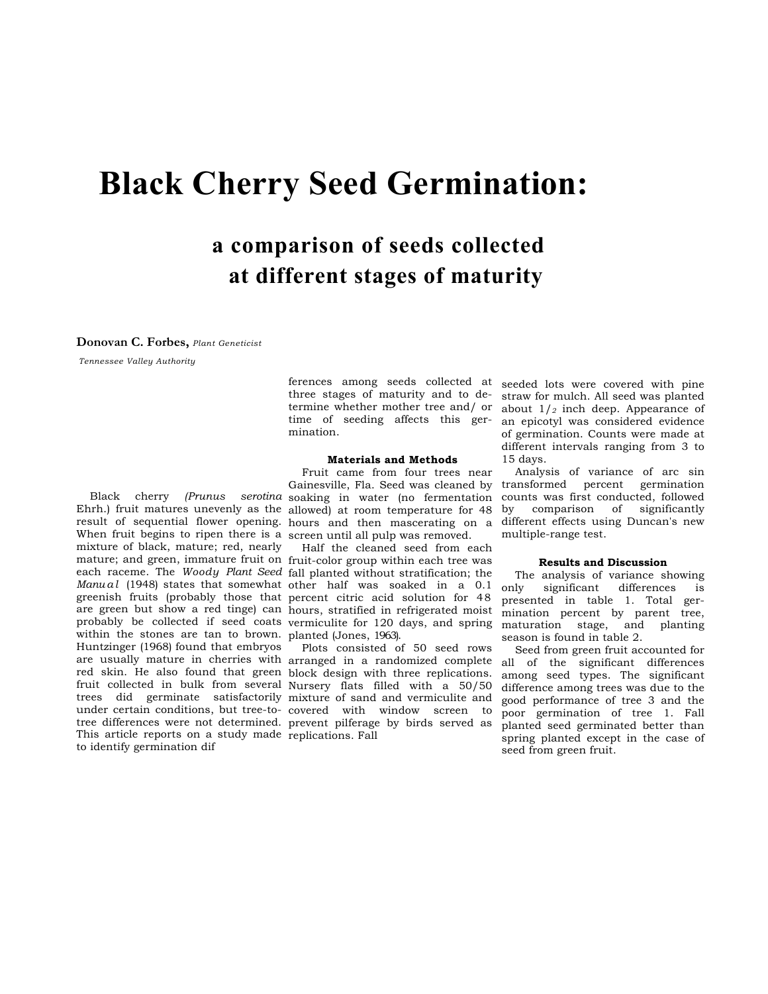# **Black Cherry Seed Germination:**

# **a comparison of seeds collected at different stages of maturity**

#### **Donovan C. Forbes,** *Plant Geneticist*

*Tennessee Valley Authority* 

ferences among seeds collected at seeded lots were covered with pine three stages of maturity and to detime of seeding affects this germination.

#### **Materials and Methods**

Ehrh.) fruit matures unevenly as the allowed) at room temperature for 48 result of sequential flower opening. hours and then mascerating on a When fruit begins to ripen there is a screen until all pulp was removed. mixture of black, mature; red, nearly mature; and green, immature fruit on fruit-color group within each tree was each raceme. The *Woody Plant Seed*  fall planted without stratification; the Manual (1948) states that somewhat other half was soaked in a 0.1 greenish fruits (probably those that percent citric acid solution for 48 are green but show a red tinge) can hours, stratified in refrigerated moist probably be collected if seed coats vermiculite for 120 days, and spring within the stones are tan to brown. planted (Jones, 1963). Huntzinger (1968) found that embryos are usually mature in cherries with arranged in a randomized complete red skin. He also found that green block design with three replications. fruit collected in bulk from several Nursery flats filled with a 50/50 trees did germinate satisfactorily mixture of sand and vermiculite and under certain conditions, but tree-to-covered with window screen to tree differences were not determined. prevent pilferage by birds served as This article reports on a study made replications. Fall to identify germination dif

Black cherry *(Prunus serotina*  soaking in water (no fermentation Fruit came from four trees near Gainesville, Fla. Seed was cleaned by

Half the cleaned seed from each

Plots consisted of 50 seed rows

termine whether mother tree and/ or about 1/*2* inch deep. Appearance of straw for mulch. All seed was planted an epicotyl was considered evidence of germination. Counts were made at different intervals ranging from 3 to 15 days.

> Analysis of variance of arc sin transformed percent germination counts was first conducted, followed by comparison of significantly different effects using Duncan's new multiple-range test.

#### **Results and Discussion**

The analysis of variance showing only significant differences is presented in table 1. Total germination percent by parent tree, maturation stage, and planting season is found in table 2.

Seed from green fruit accounted for all of the significant differences among seed types. The significant difference among trees was due to the good performance of tree 3 and the poor germination of tree 1. Fall planted seed germinated better than spring planted except in the case of seed from green fruit.